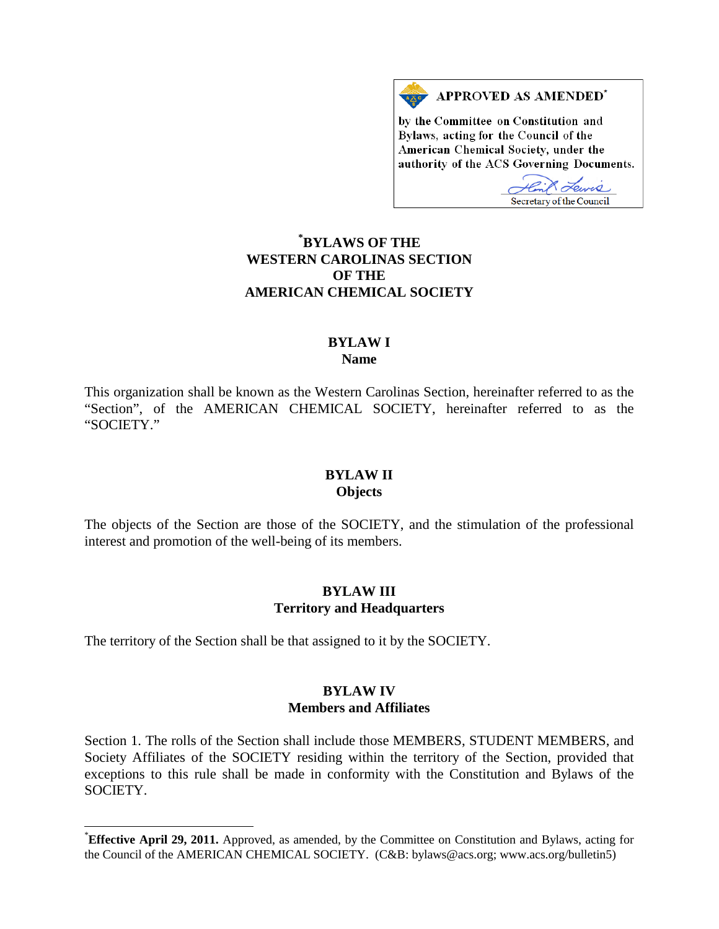

by the Committee on Constitution and Bylaws, acting for the Council of the American Chemical Society, under the authority of the ACS Governing Documents.

Tewis Secretary of the Council

# **[\\*](#page-0-0) BYLAWS OF THE WESTERN CAROLINAS SECTION OF THE AMERICAN CHEMICAL SOCIETY**

# **BYLAW I Name**

This organization shall be known as the Western Carolinas Section, hereinafter referred to as the "Section", of the AMERICAN CHEMICAL SOCIETY, hereinafter referred to as the "SOCIETY."

#### **BYLAW II Objects**

The objects of the Section are those of the SOCIETY, and the stimulation of the professional interest and promotion of the well-being of its members.

#### **BYLAW III Territory and Headquarters**

The territory of the Section shall be that assigned to it by the SOCIETY.

### **BYLAW IV Members and Affiliates**

Section 1. The rolls of the Section shall include those MEMBERS, STUDENT MEMBERS, and Society Affiliates of the SOCIETY residing within the territory of the Section, provided that exceptions to this rule shall be made in conformity with the Constitution and Bylaws of the SOCIETY.

<span id="page-0-0"></span><sup>\*</sup>**Effective April 29, 2011.** Approved, as amended, by the Committee on Constitution and Bylaws, acting for the Council of the AMERICAN CHEMICAL SOCIETY. (C&B: bylaws@acs.org; www.acs.org/bulletin5)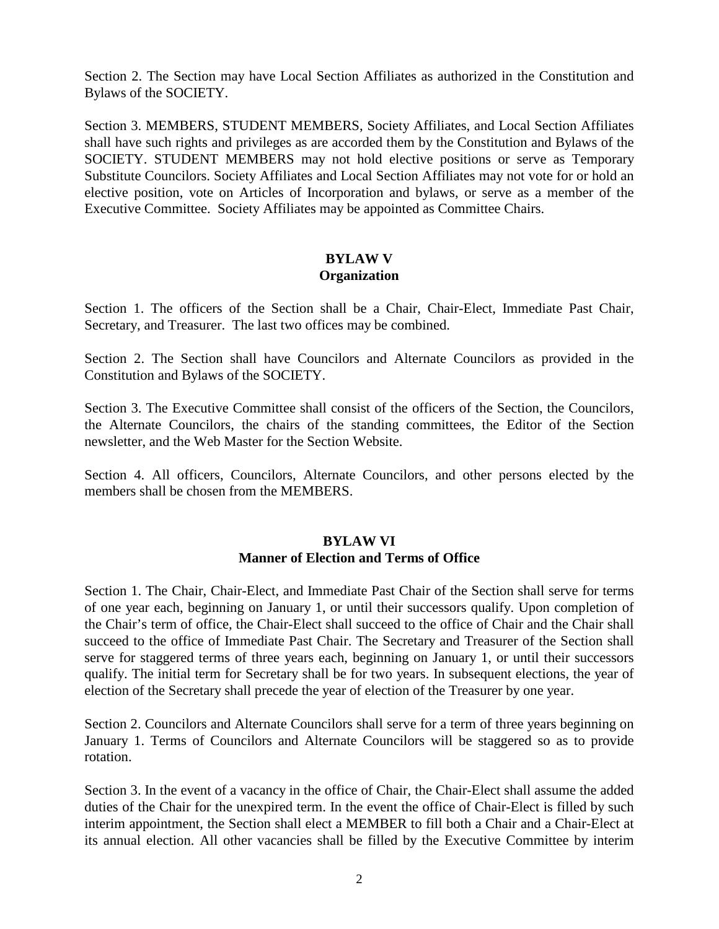Section 2. The Section may have Local Section Affiliates as authorized in the Constitution and Bylaws of the SOCIETY.

Section 3. MEMBERS, STUDENT MEMBERS, Society Affiliates, and Local Section Affiliates shall have such rights and privileges as are accorded them by the Constitution and Bylaws of the SOCIETY. STUDENT MEMBERS may not hold elective positions or serve as Temporary Substitute Councilors. Society Affiliates and Local Section Affiliates may not vote for or hold an elective position, vote on Articles of Incorporation and bylaws, or serve as a member of the Executive Committee. Society Affiliates may be appointed as Committee Chairs.

### **BYLAW V Organization**

Section 1. The officers of the Section shall be a Chair, Chair-Elect, Immediate Past Chair, Secretary, and Treasurer. The last two offices may be combined.

Section 2. The Section shall have Councilors and Alternate Councilors as provided in the Constitution and Bylaws of the SOCIETY.

Section 3. The Executive Committee shall consist of the officers of the Section, the Councilors, the Alternate Councilors, the chairs of the standing committees, the Editor of the Section newsletter, and the Web Master for the Section Website.

Section 4. All officers, Councilors, Alternate Councilors, and other persons elected by the members shall be chosen from the MEMBERS.

# **BYLAW VI Manner of Election and Terms of Office**

Section 1. The Chair, Chair-Elect, and Immediate Past Chair of the Section shall serve for terms of one year each, beginning on January 1, or until their successors qualify. Upon completion of the Chair's term of office, the Chair-Elect shall succeed to the office of Chair and the Chair shall succeed to the office of Immediate Past Chair. The Secretary and Treasurer of the Section shall serve for staggered terms of three years each, beginning on January 1, or until their successors qualify. The initial term for Secretary shall be for two years. In subsequent elections, the year of election of the Secretary shall precede the year of election of the Treasurer by one year.

Section 2. Councilors and Alternate Councilors shall serve for a term of three years beginning on January 1. Terms of Councilors and Alternate Councilors will be staggered so as to provide rotation.

Section 3. In the event of a vacancy in the office of Chair, the Chair-Elect shall assume the added duties of the Chair for the unexpired term. In the event the office of Chair-Elect is filled by such interim appointment, the Section shall elect a MEMBER to fill both a Chair and a Chair-Elect at its annual election. All other vacancies shall be filled by the Executive Committee by interim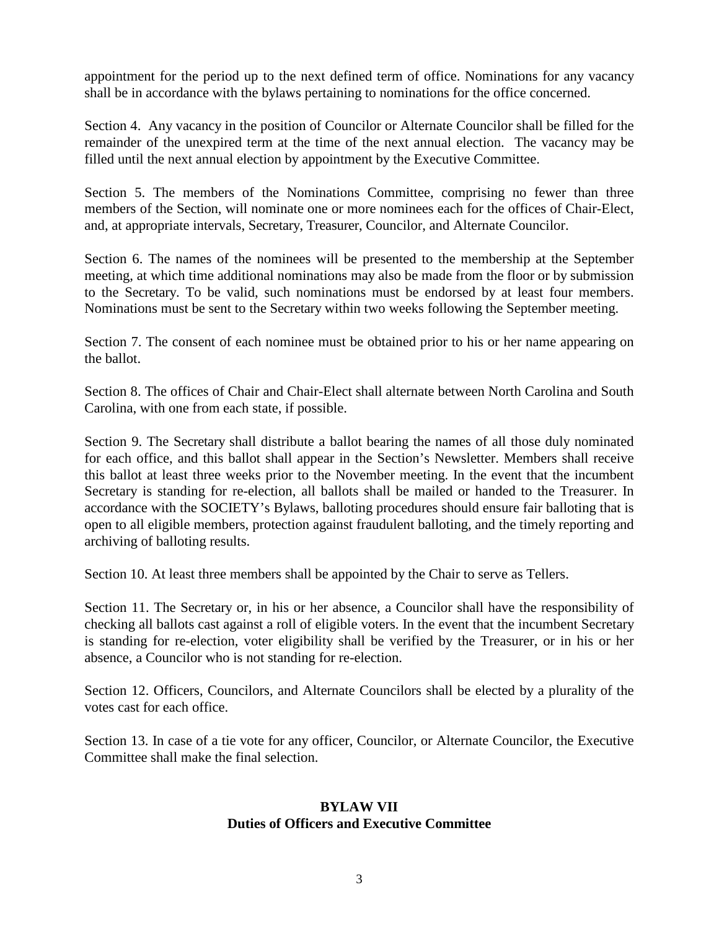appointment for the period up to the next defined term of office. Nominations for any vacancy shall be in accordance with the bylaws pertaining to nominations for the office concerned.

Section 4. Any vacancy in the position of Councilor or Alternate Councilor shall be filled for the remainder of the unexpired term at the time of the next annual election. The vacancy may be filled until the next annual election by appointment by the Executive Committee.

Section 5. The members of the Nominations Committee, comprising no fewer than three members of the Section, will nominate one or more nominees each for the offices of Chair-Elect, and, at appropriate intervals, Secretary, Treasurer, Councilor, and Alternate Councilor.

Section 6. The names of the nominees will be presented to the membership at the September meeting, at which time additional nominations may also be made from the floor or by submission to the Secretary. To be valid, such nominations must be endorsed by at least four members. Nominations must be sent to the Secretary within two weeks following the September meeting.

Section 7. The consent of each nominee must be obtained prior to his or her name appearing on the ballot.

Section 8. The offices of Chair and Chair-Elect shall alternate between North Carolina and South Carolina, with one from each state, if possible.

Section 9. The Secretary shall distribute a ballot bearing the names of all those duly nominated for each office, and this ballot shall appear in the Section's Newsletter. Members shall receive this ballot at least three weeks prior to the November meeting. In the event that the incumbent Secretary is standing for re-election, all ballots shall be mailed or handed to the Treasurer. In accordance with the SOCIETY's Bylaws, balloting procedures should ensure fair balloting that is open to all eligible members, protection against fraudulent balloting, and the timely reporting and archiving of balloting results.

Section 10. At least three members shall be appointed by the Chair to serve as Tellers.

Section 11. The Secretary or, in his or her absence, a Councilor shall have the responsibility of checking all ballots cast against a roll of eligible voters. In the event that the incumbent Secretary is standing for re-election, voter eligibility shall be verified by the Treasurer, or in his or her absence, a Councilor who is not standing for re-election.

Section 12. Officers, Councilors, and Alternate Councilors shall be elected by a plurality of the votes cast for each office.

Section 13. In case of a tie vote for any officer, Councilor, or Alternate Councilor, the Executive Committee shall make the final selection.

# **BYLAW VII Duties of Officers and Executive Committee**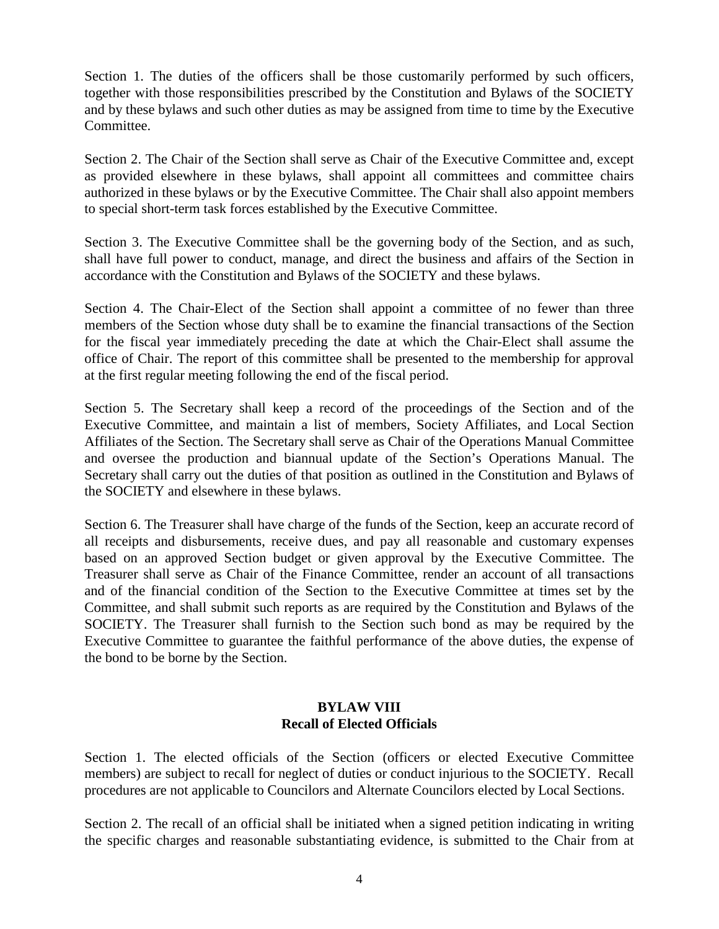Section 1. The duties of the officers shall be those customarily performed by such officers, together with those responsibilities prescribed by the Constitution and Bylaws of the SOCIETY and by these bylaws and such other duties as may be assigned from time to time by the Executive Committee.

Section 2. The Chair of the Section shall serve as Chair of the Executive Committee and, except as provided elsewhere in these bylaws, shall appoint all committees and committee chairs authorized in these bylaws or by the Executive Committee. The Chair shall also appoint members to special short-term task forces established by the Executive Committee.

Section 3. The Executive Committee shall be the governing body of the Section, and as such, shall have full power to conduct, manage, and direct the business and affairs of the Section in accordance with the Constitution and Bylaws of the SOCIETY and these bylaws.

Section 4. The Chair-Elect of the Section shall appoint a committee of no fewer than three members of the Section whose duty shall be to examine the financial transactions of the Section for the fiscal year immediately preceding the date at which the Chair-Elect shall assume the office of Chair. The report of this committee shall be presented to the membership for approval at the first regular meeting following the end of the fiscal period.

Section 5. The Secretary shall keep a record of the proceedings of the Section and of the Executive Committee, and maintain a list of members, Society Affiliates, and Local Section Affiliates of the Section. The Secretary shall serve as Chair of the Operations Manual Committee and oversee the production and biannual update of the Section's Operations Manual. The Secretary shall carry out the duties of that position as outlined in the Constitution and Bylaws of the SOCIETY and elsewhere in these bylaws.

Section 6. The Treasurer shall have charge of the funds of the Section, keep an accurate record of all receipts and disbursements, receive dues, and pay all reasonable and customary expenses based on an approved Section budget or given approval by the Executive Committee. The Treasurer shall serve as Chair of the Finance Committee, render an account of all transactions and of the financial condition of the Section to the Executive Committee at times set by the Committee, and shall submit such reports as are required by the Constitution and Bylaws of the SOCIETY. The Treasurer shall furnish to the Section such bond as may be required by the Executive Committee to guarantee the faithful performance of the above duties, the expense of the bond to be borne by the Section.

### **BYLAW VIII Recall of Elected Officials**

Section 1. The elected officials of the Section (officers or elected Executive Committee members) are subject to recall for neglect of duties or conduct injurious to the SOCIETY. Recall procedures are not applicable to Councilors and Alternate Councilors elected by Local Sections.

Section 2. The recall of an official shall be initiated when a signed petition indicating in writing the specific charges and reasonable substantiating evidence, is submitted to the Chair from at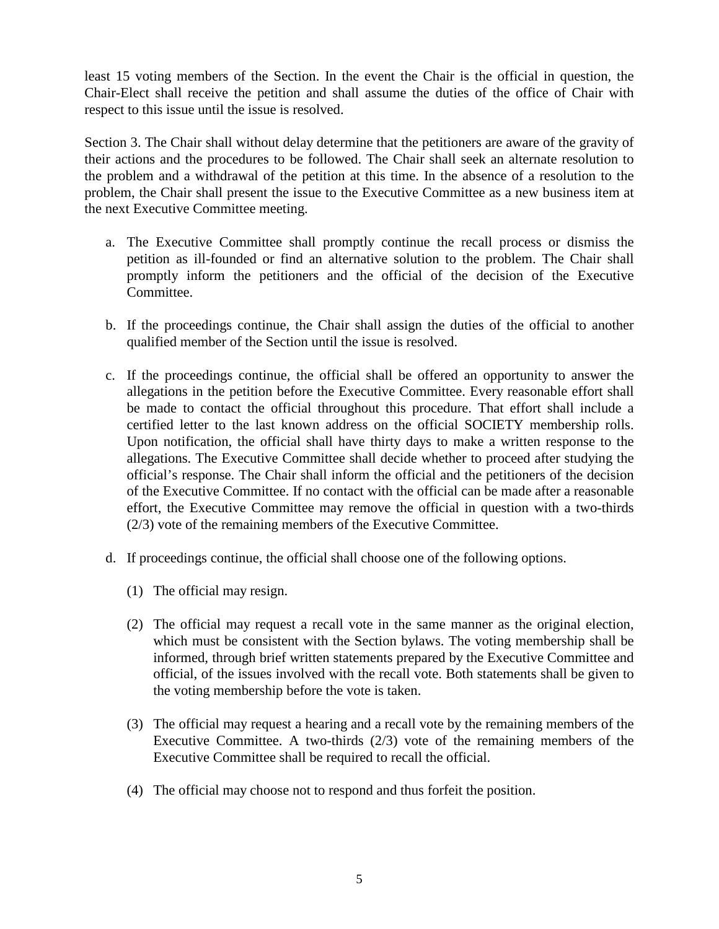least 15 voting members of the Section. In the event the Chair is the official in question, the Chair-Elect shall receive the petition and shall assume the duties of the office of Chair with respect to this issue until the issue is resolved.

Section 3. The Chair shall without delay determine that the petitioners are aware of the gravity of their actions and the procedures to be followed. The Chair shall seek an alternate resolution to the problem and a withdrawal of the petition at this time. In the absence of a resolution to the problem, the Chair shall present the issue to the Executive Committee as a new business item at the next Executive Committee meeting.

- a. The Executive Committee shall promptly continue the recall process or dismiss the petition as ill-founded or find an alternative solution to the problem. The Chair shall promptly inform the petitioners and the official of the decision of the Executive Committee.
- b. If the proceedings continue, the Chair shall assign the duties of the official to another qualified member of the Section until the issue is resolved.
- c. If the proceedings continue, the official shall be offered an opportunity to answer the allegations in the petition before the Executive Committee. Every reasonable effort shall be made to contact the official throughout this procedure. That effort shall include a certified letter to the last known address on the official SOCIETY membership rolls. Upon notification, the official shall have thirty days to make a written response to the allegations. The Executive Committee shall decide whether to proceed after studying the official's response. The Chair shall inform the official and the petitioners of the decision of the Executive Committee. If no contact with the official can be made after a reasonable effort, the Executive Committee may remove the official in question with a two-thirds (2/3) vote of the remaining members of the Executive Committee.
- d. If proceedings continue, the official shall choose one of the following options.
	- (1) The official may resign.
	- (2) The official may request a recall vote in the same manner as the original election, which must be consistent with the Section bylaws. The voting membership shall be informed, through brief written statements prepared by the Executive Committee and official, of the issues involved with the recall vote. Both statements shall be given to the voting membership before the vote is taken.
	- (3) The official may request a hearing and a recall vote by the remaining members of the Executive Committee. A two-thirds (2/3) vote of the remaining members of the Executive Committee shall be required to recall the official.
	- (4) The official may choose not to respond and thus forfeit the position.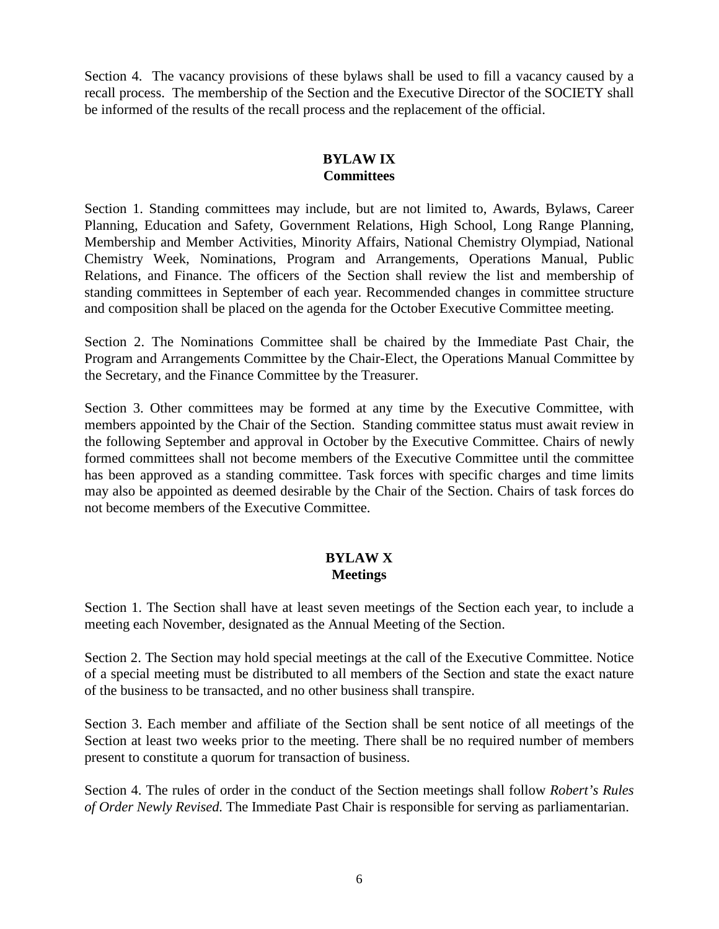Section 4. The vacancy provisions of these bylaws shall be used to fill a vacancy caused by a recall process. The membership of the Section and the Executive Director of the SOCIETY shall be informed of the results of the recall process and the replacement of the official.

### **BYLAW IX Committees**

Section 1. Standing committees may include, but are not limited to, Awards, Bylaws, Career Planning, Education and Safety, Government Relations, High School, Long Range Planning, Membership and Member Activities, Minority Affairs, National Chemistry Olympiad, National Chemistry Week, Nominations, Program and Arrangements, Operations Manual, Public Relations, and Finance. The officers of the Section shall review the list and membership of standing committees in September of each year. Recommended changes in committee structure and composition shall be placed on the agenda for the October Executive Committee meeting.

Section 2. The Nominations Committee shall be chaired by the Immediate Past Chair, the Program and Arrangements Committee by the Chair-Elect, the Operations Manual Committee by the Secretary, and the Finance Committee by the Treasurer.

Section 3. Other committees may be formed at any time by the Executive Committee, with members appointed by the Chair of the Section. Standing committee status must await review in the following September and approval in October by the Executive Committee. Chairs of newly formed committees shall not become members of the Executive Committee until the committee has been approved as a standing committee. Task forces with specific charges and time limits may also be appointed as deemed desirable by the Chair of the Section. Chairs of task forces do not become members of the Executive Committee.

# **BYLAW X Meetings**

Section 1. The Section shall have at least seven meetings of the Section each year, to include a meeting each November, designated as the Annual Meeting of the Section.

Section 2. The Section may hold special meetings at the call of the Executive Committee. Notice of a special meeting must be distributed to all members of the Section and state the exact nature of the business to be transacted, and no other business shall transpire.

Section 3. Each member and affiliate of the Section shall be sent notice of all meetings of the Section at least two weeks prior to the meeting. There shall be no required number of members present to constitute a quorum for transaction of business.

Section 4. The rules of order in the conduct of the Section meetings shall follow *Robert's Rules of Order Newly Revised.* The Immediate Past Chair is responsible for serving as parliamentarian.